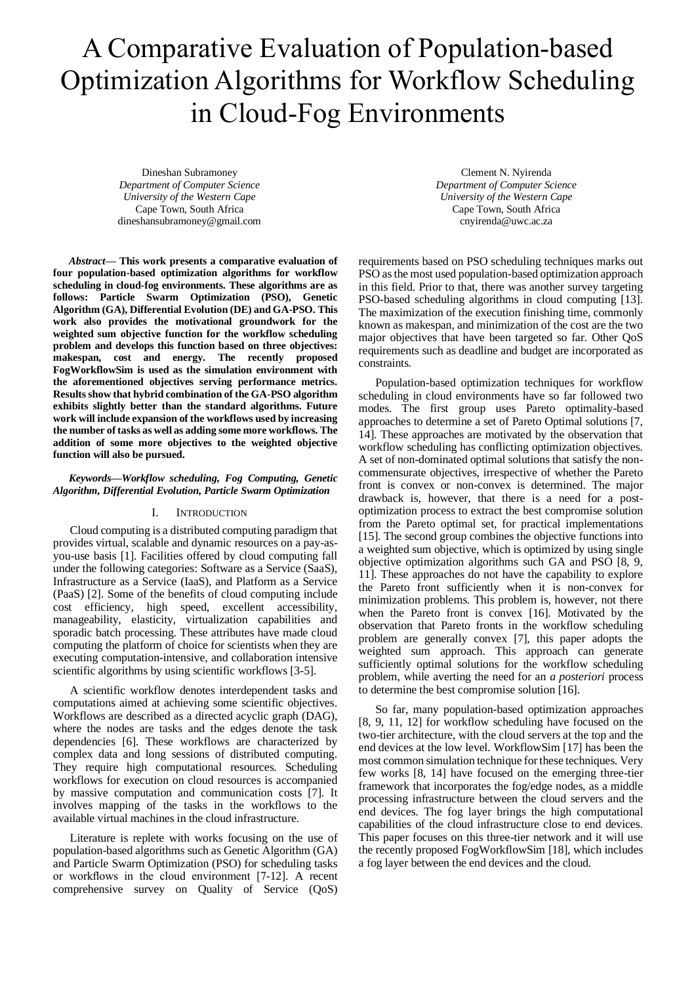# A Comparative Evaluation of Population-based Optimization Algorithms for Workflow Scheduling in Cloud-Fog Environments

Dineshan Subramoney *Department of Computer Science University of the Western Cape*  Cape Town, South Africa dineshansubramoney@gmail.com

*Abstract***— This work presents a comparative evaluation of four population-based optimization algorithms for workflow scheduling in cloud-fog environments. These algorithms are as follows: Particle Swarm Optimization (PSO), Genetic Algorithm (GA), Differential Evolution (DE) and GA-PSO. This work also provides the motivational groundwork for the weighted sum objective function for the workflow scheduling problem and develops this function based on three objectives: makespan, cost and energy. The recently proposed FogWorkflowSim is used as the simulation environment with the aforementioned objectives serving performance metrics. Results show that hybrid combination of the GA-PSO algorithm exhibits slightly better than the standard algorithms. Future work will include expansion of the workflows used by increasing the number of tasks as well as adding some more workflows. The addition of some more objectives to the weighted objective function will also be pursued.**

## *Keywords—Workflow scheduling, Fog Computing, Genetic Algorithm, Differential Evolution, Particle Swarm Optimization*

## I. INTRODUCTION

Cloud computing is a distributed computing paradigm that provides virtual, scalable and dynamic resources on a pay-asyou-use basis [1]. Facilities offered by cloud computing fall under the following categories: Software as a Service (SaaS), Infrastructure as a Service (IaaS), and Platform as a Service (PaaS) [2]. Some of the benefits of cloud computing include cost efficiency, high speed, excellent accessibility, manageability, elasticity, virtualization capabilities and sporadic batch processing. These attributes have made cloud computing the platform of choice for scientists when they are executing computation-intensive, and collaboration intensive scientific algorithms by using scientific workflows [3-5].

A scientific workflow denotes interdependent tasks and computations aimed at achieving some scientific objectives. Workflows are described as a directed acyclic graph (DAG), where the nodes are tasks and the edges denote the task dependencies [6]. These workflows are characterized by complex data and long sessions of distributed computing. They require high computational resources. Scheduling workflows for execution on cloud resources is accompanied by massive computation and communication costs [7]. It involves mapping of the tasks in the workflows to the available virtual machines in the cloud infrastructure.

Literature is replete with works focusing on the use of population-based algorithms such as Genetic Algorithm (GA) and Particle Swarm Optimization (PSO) for scheduling tasks or workflows in the cloud environment [7-12]. A recent comprehensive survey on Quality of Service (QoS)

Clement N. Nyirenda *Department of Computer Science University of the Western Cape*  Cape Town, South Africa cnyirenda@uwc.ac.za

requirements based on PSO scheduling techniques marks out PSO as the most used population-based optimization approach in this field. Prior to that, there was another survey targeting PSO-based scheduling algorithms in cloud computing [13]. The maximization of the execution finishing time, commonly known as makespan, and minimization of the cost are the two major objectives that have been targeted so far. Other QoS requirements such as deadline and budget are incorporated as constraints.

Population-based optimization techniques for workflow scheduling in cloud environments have so far followed two modes. The first group uses Pareto optimality-based approaches to determine a set of Pareto Optimal solutions [7, 14]. These approaches are motivated by the observation that workflow scheduling has conflicting optimization objectives. A set of non-dominated optimal solutions that satisfy the noncommensurate objectives, irrespective of whether the Pareto front is convex or non-convex is determined. The major drawback is, however, that there is a need for a postoptimization process to extract the best compromise solution from the Pareto optimal set, for practical implementations [15]. The second group combines the objective functions into a weighted sum objective, which is optimized by using single objective optimization algorithms such GA and PSO [8, 9, 11]. These approaches do not have the capability to explore the Pareto front sufficiently when it is non-convex for minimization problems. This problem is, however, not there when the Pareto front is convex [16]. Motivated by the observation that Pareto fronts in the workflow scheduling problem are generally convex [7], this paper adopts the weighted sum approach. This approach can generate sufficiently optimal solutions for the workflow scheduling problem, while averting the need for an *a posteriori* process to determine the best compromise solution [16].

So far, many population-based optimization approaches [8, 9, 11, 12] for workflow scheduling have focused on the two-tier architecture, with the cloud servers at the top and the end devices at the low level. WorkflowSim [17] has been the most common simulation technique for these techniques. Very few works [8, 14] have focused on the emerging three-tier framework that incorporates the fog/edge nodes, as a middle processing infrastructure between the cloud servers and the end devices. The fog layer brings the high computational capabilities of the cloud infrastructure close to end devices. This paper focuses on this three-tier network and it will use the recently proposed FogWorkflowSim [18], which includes a fog layer between the end devices and the cloud.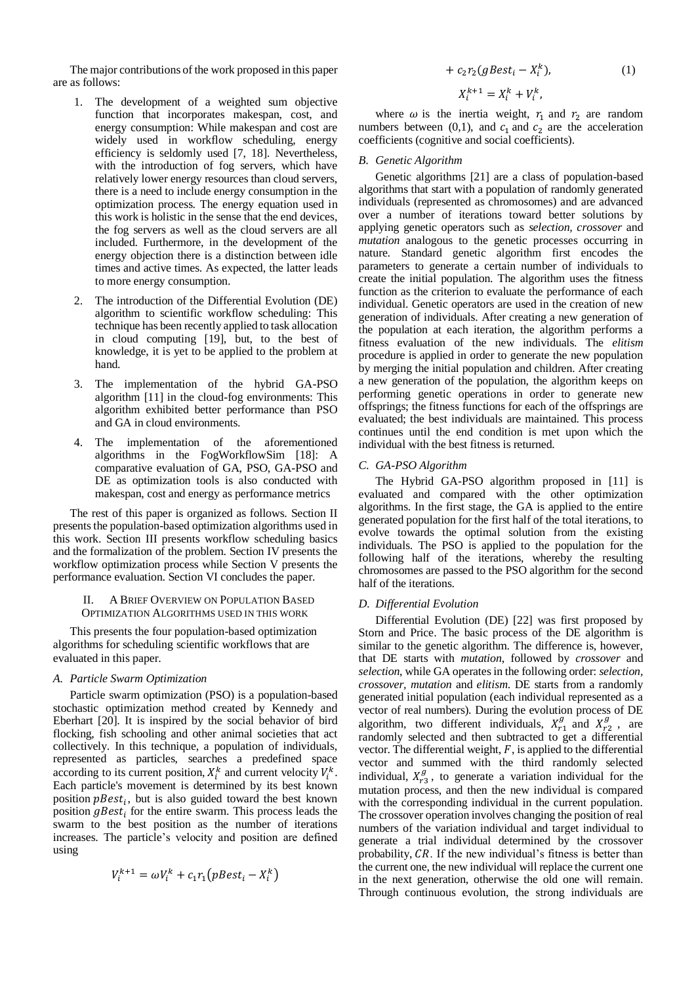The major contributions of the work proposed in this paper are as follows:

- 1. The development of a weighted sum objective function that incorporates makespan, cost, and energy consumption: While makespan and cost are widely used in workflow scheduling, energy efficiency is seldomly used [7, 18]. Nevertheless, with the introduction of fog servers, which have relatively lower energy resources than cloud servers, there is a need to include energy consumption in the optimization process. The energy equation used in this work is holistic in the sense that the end devices, the fog servers as well as the cloud servers are all included. Furthermore, in the development of the energy objection there is a distinction between idle times and active times. As expected, the latter leads to more energy consumption.
- 2. The introduction of the Differential Evolution (DE) algorithm to scientific workflow scheduling: This technique has been recently applied to task allocation in cloud computing [19], but, to the best of knowledge, it is yet to be applied to the problem at hand.
- 3. The implementation of the hybrid GA-PSO algorithm [11] in the cloud-fog environments: This algorithm exhibited better performance than PSO and GA in cloud environments.
- 4. The implementation of the aforementioned algorithms in the FogWorkflowSim [18]: A comparative evaluation of GA, PSO, GA-PSO and DE as optimization tools is also conducted with makespan, cost and energy as performance metrics

The rest of this paper is organized as follows. Section II presents the population-based optimization algorithms used in this work. Section III presents workflow scheduling basics and the formalization of the problem. Section IV presents the workflow optimization process while Section V presents the performance evaluation. Section VI concludes the paper.

## II. A BRIEF OVERVIEW ON POPULATION BASED OPTIMIZATION ALGORITHMS USED IN THIS WORK

This presents the four population-based optimization algorithms for scheduling scientific workflows that are evaluated in this paper.

# *A. Particle Swarm Optimization*

Particle swarm optimization (PSO) is a population-based stochastic optimization method created by Kennedy and Eberhart [20]. It is inspired by the social behavior of bird flocking, fish schooling and other animal societies that act collectively. In this technique, a population of individuals, represented as particles, searches a predefined space according to its current position,  $X_i^k$  and current velocity  $V_i^k$ . Each particle's movement is determined by its best known position  $pBest_i$ , but is also guided toward the best known position  $gBest_i$  for the entire swarm. This process leads the swarm to the best position as the number of iterations increases. The particle's velocity and position are defined using

$$
V_i^{k+1} = \omega V_i^k + c_1 r_1 \left( pBest_i - X_i^k \right)
$$

$$
+ c_2 r_2 (gBest_i - X_i^k), \qquad (1)
$$

$$
X_i^{k+1} = X_i^k + V_i^k,
$$

where  $\omega$  is the inertia weight,  $r_1$  and  $r_2$  are random numbers between (0,1), and  $c_1$  and  $c_2$  are the acceleration coefficients (cognitive and social coefficients).

## *B. Genetic Algorithm*

Genetic algorithms [21] are a class of population-based algorithms that start with a population of randomly generated individuals (represented as chromosomes) and are advanced over a number of iterations toward better solutions by applying genetic operators such as *selection, crossover* and *mutation* analogous to the genetic processes occurring in nature. Standard genetic algorithm first encodes the parameters to generate a certain number of individuals to create the initial population. The algorithm uses the fitness function as the criterion to evaluate the performance of each individual. Genetic operators are used in the creation of new generation of individuals. After creating a new generation of the population at each iteration, the algorithm performs a fitness evaluation of the new individuals. The *elitism*  procedure is applied in order to generate the new population by merging the initial population and children. After creating a new generation of the population, the algorithm keeps on performing genetic operations in order to generate new offsprings; the fitness functions for each of the offsprings are evaluated; the best individuals are maintained. This process continues until the end condition is met upon which the individual with the best fitness is returned.

# *C. GA-PSO Algorithm*

The Hybrid GA-PSO algorithm proposed in [11] is evaluated and compared with the other optimization algorithms. In the first stage, the GA is applied to the entire generated population for the first half of the total iterations, to evolve towards the optimal solution from the existing individuals. The PSO is applied to the population for the following half of the iterations, whereby the resulting chromosomes are passed to the PSO algorithm for the second half of the iterations.

# *D. Differential Evolution*

Differential Evolution (DE) [22] was first proposed by Storn and Price. The basic process of the DE algorithm is similar to the genetic algorithm. The difference is, however, that DE starts with *mutation*, followed by *crossover* and *selection*, while GA operates in the following order: *selection, crossover, mutation* and *elitism*. DE starts from a randomly generated initial population (each individual represented as a vector of real numbers). During the evolution process of DE algorithm, two different individuals,  $X_{r_1}^g$  and  $X_{r_2}^g$ , are randomly selected and then subtracted to get a differential vector. The differential weight,  $F$ , is applied to the differential vector and summed with the third randomly selected individual,  $X_{r3}^g$ , to generate a variation individual for the mutation process, and then the new individual is compared with the corresponding individual in the current population. The crossover operation involves changing the position of real numbers of the variation individual and target individual to generate a trial individual determined by the crossover probability,  $CR$ . If the new individual's fitness is better than the current one, the new individual will replace the current one in the next generation, otherwise the old one will remain. Through continuous evolution, the strong individuals are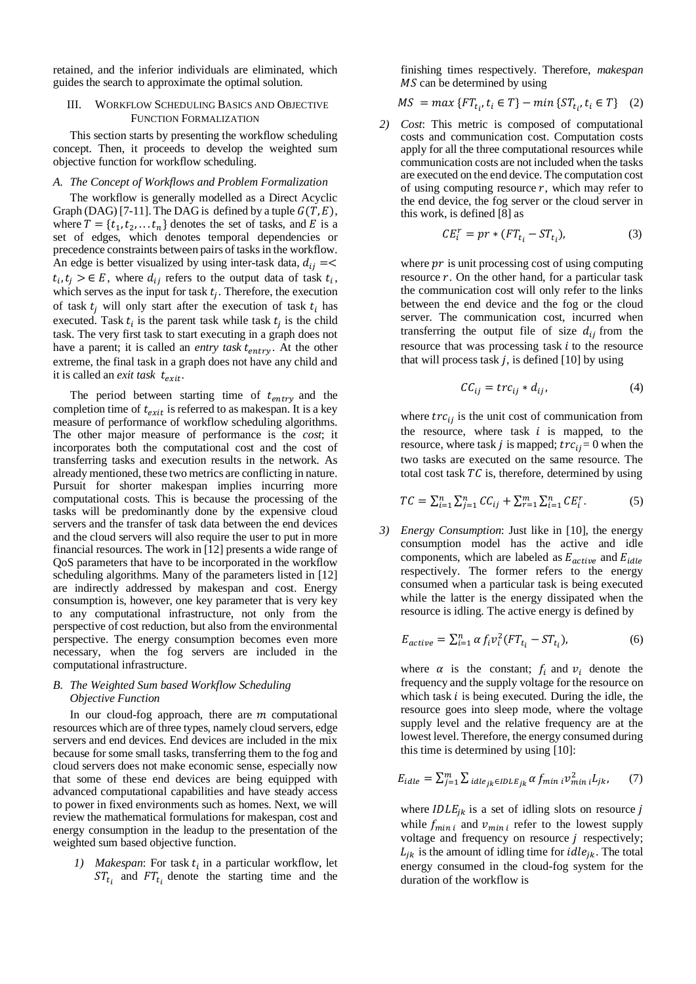retained, and the inferior individuals are eliminated, which guides the search to approximate the optimal solution.

# III. WORKFLOW SCHEDULING BASICS AND OBJECTIVE FUNCTION FORMALIZATION

This section starts by presenting the workflow scheduling concept. Then, it proceeds to develop the weighted sum objective function for workflow scheduling.

## *A. The Concept of Workflows and Problem Formalization*

The workflow is generally modelled as a Direct Acyclic Graph (DAG) [7-11]. The DAG is defined by a tuple  $G(T, E)$ , where  $T = \{t_1, t_2, \dots t_n\}$  denotes the set of tasks, and E is a set of edges, which denotes temporal dependencies or precedence constraints between pairs of tasks in the workflow. An edge is better visualized by using inter-task data,  $d_{ij} = \lt$  $t_i, t_j > \epsilon E$ , where  $d_{ij}$  refers to the output data of task  $t_i$ , which serves as the input for task  $t_j$ . Therefore, the execution of task  $t_i$  will only start after the execution of task  $t_i$  has executed. Task  $t_i$  is the parent task while task  $t_j$  is the child task. The very first task to start executing in a graph does not have a parent; it is called an *entry task t<sub>entry</sub>*. At the other extreme, the final task in a graph does not have any child and it is called an *exit task*  $t_{exit}$ .

The period between starting time of  $t_{entry}$  and the completion time of  $t_{exit}$  is referred to as makespan. It is a key measure of performance of workflow scheduling algorithms. The other major measure of performance is the *cost*; it incorporates both the computational cost and the cost of transferring tasks and execution results in the network. As already mentioned, these two metrics are conflicting in nature. Pursuit for shorter makespan implies incurring more computational costs. This is because the processing of the tasks will be predominantly done by the expensive cloud servers and the transfer of task data between the end devices and the cloud servers will also require the user to put in more financial resources. The work in [12] presents a wide range of QoS parameters that have to be incorporated in the workflow scheduling algorithms. Many of the parameters listed in [12] are indirectly addressed by makespan and cost. Energy consumption is, however, one key parameter that is very key to any computational infrastructure, not only from the perspective of cost reduction, but also from the environmental perspective. The energy consumption becomes even more necessary, when the fog servers are included in the computational infrastructure.

# *B. The Weighted Sum based Workflow Scheduling Objective Function*

In our cloud-fog approach, there are  $m$  computational resources which are of three types, namely cloud servers, edge servers and end devices. End devices are included in the mix because for some small tasks, transferring them to the fog and cloud servers does not make economic sense, especially now that some of these end devices are being equipped with advanced computational capabilities and have steady access to power in fixed environments such as homes. Next, we will review the mathematical formulations for makespan, cost and energy consumption in the leadup to the presentation of the weighted sum based objective function.

1) *Makespan*: For task  $t_i$  in a particular workflow, let  $ST_{t_i}$  and  $FT_{t_i}$  denote the starting time and the

finishing times respectively. Therefore, *makespan*  $MS$  can be determined by using

$$
MS = \max \{ FT_{t_i}, t_i \in T \} - \min \{ ST_{t_i}, t_i \in T \} \quad (2)
$$

*2) Cost*: This metric is composed of computational costs and communication cost. Computation costs apply for all the three computational resources while communication costs are not included when the tasks are executed on the end device. The computation cost of using computing resource  $r$ , which may refer to the end device, the fog server or the cloud server in this work, is defined [8] as

$$
CE_i^r = pr * (FT_{t_i} - ST_{t_i}),
$$
\n(3)

where  $pr$  is unit processing cost of using computing resource  $r$ . On the other hand, for a particular task the communication cost will only refer to the links between the end device and the fog or the cloud server. The communication cost, incurred when transferring the output file of size  $d_{ij}$  from the resource that was processing task  $i$  to the resource that will process task  $j$ , is defined [10] by using

$$
CC_{ij} = trc_{ij} * d_{ij}, \qquad (4)
$$

where  $tr c_{ij}$  is the unit cost of communication from the resource, where task  $i$  is mapped, to the resource, where task *j* is mapped;  $tr c_{ij} = 0$  when the two tasks are executed on the same resource. The total cost task  $TC$  is, therefore, determined by using

$$
TC = \sum_{i=1}^{n} \sum_{j=1}^{n} CC_{ij} + \sum_{r=1}^{m} \sum_{i=1}^{n} CE_{i}^{r}.
$$
 (5)

*3) Energy Consumption*: Just like in [10], the energy consumption model has the active and idle components, which are labeled as  $E_{active}$  and  $E_{idle}$ respectively. The former refers to the energy consumed when a particular task is being executed while the latter is the energy dissipated when the resource is idling. The active energy is defined by

$$
E_{active} = \sum_{i=1}^{n} \alpha f_i v_i^2 (FT_{t_i} - ST_{t_i}),
$$
\n(6)

where  $\alpha$  is the constant;  $f_i$  and  $v_i$  denote the frequency and the supply voltage for the resource on which task  $i$  is being executed. During the idle, the resource goes into sleep mode, where the voltage supply level and the relative frequency are at the lowest level. Therefore, the energy consumed during this time is determined by using [10]:

$$
E_{idle} = \sum_{j=1}^{m} \sum_{idle_{jk} \in IDLE_{jk}} \alpha f_{min} \, i \mathcal{V}_{min}^2 \, i L_{jk}, \qquad (7)
$$

where  $IDLE_{jk}$  is a set of idling slots on resource j while  $f_{min i}$  and  $v_{min i}$  refer to the lowest supply voltage and frequency on resource  $j$  respectively;  $L_{ik}$  is the amount of idling time for *idle<sub>ik</sub>*. The total energy consumed in the cloud-fog system for the duration of the workflow is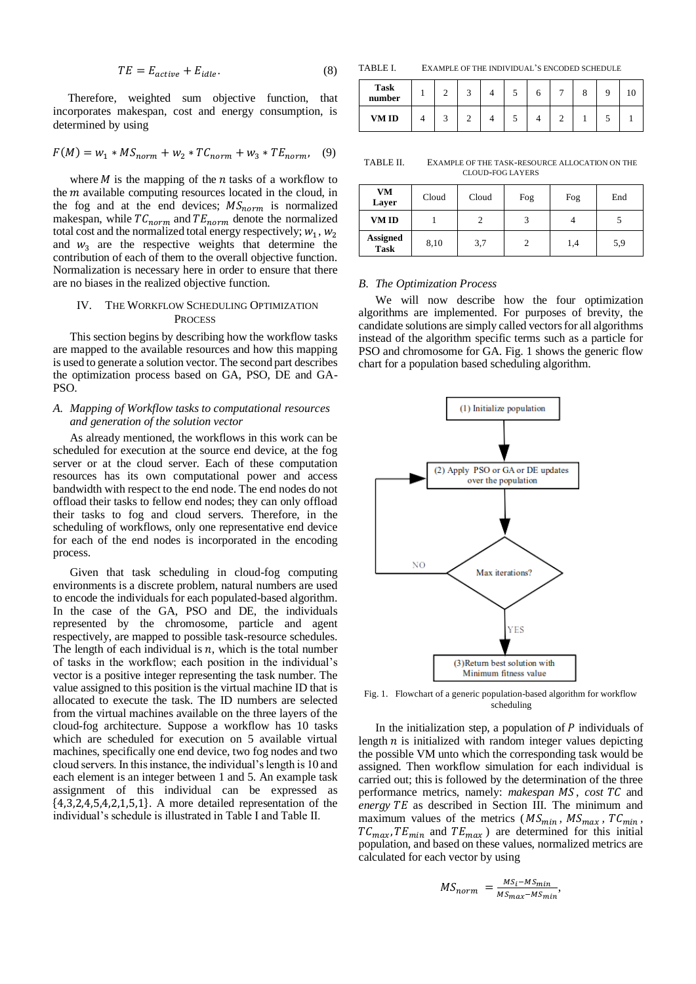$$
TE = E_{active} + E_{idle}. \t\t(8)
$$

 Therefore, weighted sum objective function, that incorporates makespan, cost and energy consumption, is determined by using

$$
F(M) = w_1 * MS_{norm} + w_2 * TC_{norm} + w_3 * TE_{norm}, \quad (9)
$$

where  $M$  is the mapping of the  $n$  tasks of a workflow to the  *available computing resources located in the cloud, in* the fog and at the end devices;  $MS_{norm}$  is normalized makespan, while  $TC_{norm}$  and  $TE_{norm}$  denote the normalized total cost and the normalized total energy respectively;  $w_1$ ,  $w_2$ and  $w_3$  are the respective weights that determine the contribution of each of them to the overall objective function. Normalization is necessary here in order to ensure that there are no biases in the realized objective function.

# IV. THE WORKFLOW SCHEDULING OPTIMIZATION **PROCESS**

This section begins by describing how the workflow tasks are mapped to the available resources and how this mapping is used to generate a solution vector. The second part describes the optimization process based on GA, PSO, DE and GA-PSO.

# *A. Mapping of Workflow tasks to computational resources and generation of the solution vector*

As already mentioned, the workflows in this work can be scheduled for execution at the source end device, at the fog server or at the cloud server. Each of these computation resources has its own computational power and access bandwidth with respect to the end node. The end nodes do not offload their tasks to fellow end nodes; they can only offload their tasks to fog and cloud servers. Therefore, in the scheduling of workflows, only one representative end device for each of the end nodes is incorporated in the encoding process.

Given that task scheduling in cloud-fog computing environments is a discrete problem, natural numbers are used to encode the individuals for each populated-based algorithm. In the case of the GA, PSO and DE, the individuals represented by the chromosome, particle and agent respectively, are mapped to possible task-resource schedules. The length of each individual is  $n$ , which is the total number of tasks in the workflow; each position in the individual's vector is a positive integer representing the task number. The value assigned to this position is the virtual machine ID that is allocated to execute the task. The ID numbers are selected from the virtual machines available on the three layers of the cloud-fog architecture. Suppose a workflow has 10 tasks which are scheduled for execution on 5 available virtual machines, specifically one end device, two fog nodes and two cloud servers. In this instance, the individual's length is 10 and each element is an integer between 1 and 5. An example task assignment of this individual can be expressed as {4,3,2,4,5,4,2,1,5,1}. A more detailed representation of the individual's schedule is illustrated in Table I and Table II.

TABLE I. EXAMPLE OF THE INDIVIDUAL'S ENCODED SCHEDULE

| <b>Task</b><br>number |  |  |  | − |  |  |
|-----------------------|--|--|--|---|--|--|
| <b>VMID</b>           |  |  |  |   |  |  |

TABLE II. EXAMPLE OF THE TASK-RESOURCE ALLOCATION ON THE CLOUD-FOG LAYERS

| VM<br>Layer                    | Cloud | Cloud | Fog | Fog | End |
|--------------------------------|-------|-------|-----|-----|-----|
| VM ID                          |       | 2     |     |     |     |
| <b>Assigned</b><br><b>Task</b> | 8,10  | 3,7   | 2   | 1,4 | 5,9 |

#### *B. The Optimization Process*

We will now describe how the four optimization algorithms are implemented. For purposes of brevity, the candidate solutions are simply called vectors for all algorithms instead of the algorithm specific terms such as a particle for PSO and chromosome for GA. Fig. 1 shows the generic flow chart for a population based scheduling algorithm.



Fig. 1. Flowchart of a generic population-based algorithm for workflow scheduling

In the initialization step, a population of  $P$  individuals of length  $n$  is initialized with random integer values depicting the possible VM unto which the corresponding task would be assigned. Then workflow simulation for each individual is carried out; this is followed by the determination of the three performance metrics, namely: *makespan MS*, *cost TC* and energy TE as described in Section III. The minimum and maximum values of the metrics ( $MS_{min}$ ,  $MS_{max}$ ,  $TC_{min}$ ,  $TC_{max}$ ,  $TE_{min}$  and  $TE_{max}$ ) are determined for this initial population, and based on these values, normalized metrics are calculated for each vector by using

$$
MS_{norm} = \frac{MS_i - MS_{min}}{MS_{max} - MS_{min}},
$$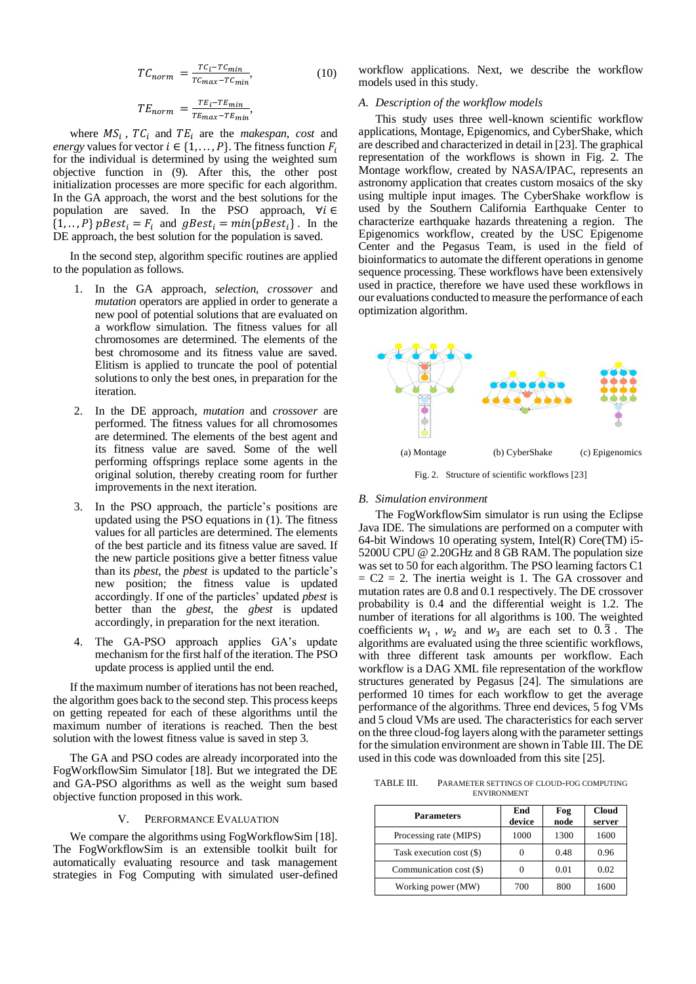$$
TC_{norm} = \frac{TC_i - TC_{min}}{TC_{max} - TC_{min}},
$$
\n(10)

$$
TE_{norm} = \frac{TE_i - TE_{min}}{TE_{max} - TE_{min}},
$$

where  $MS_i$ ,  $TC_i$  and  $TE_i$  are the *makespan*, *cost* and *energy* values for vector  $i \in \{1, ..., P\}$ . The fitness function  $F_i$ for the individual is determined by using the weighted sum objective function in (9). After this, the other post initialization processes are more specific for each algorithm. In the GA approach, the worst and the best solutions for the population are saved. In the PSO approach,  $\forall i \in$  $\{1, \ldots, P\}$   $pBest_i = F_i$  and  $gBest_i = min\{pBest_i\}$ . In the DE approach, the best solution for the population is saved.

In the second step, algorithm specific routines are applied to the population as follows.

- 1. In the GA approach, *selection*, *crossover* and *mutation* operators are applied in order to generate a new pool of potential solutions that are evaluated on a workflow simulation. The fitness values for all chromosomes are determined. The elements of the best chromosome and its fitness value are saved. Elitism is applied to truncate the pool of potential solutions to only the best ones, in preparation for the iteration.
- 2. In the DE approach, *mutation* and *crossover* are performed. The fitness values for all chromosomes are determined. The elements of the best agent and its fitness value are saved. Some of the well performing offsprings replace some agents in the original solution, thereby creating room for further improvements in the next iteration.
- 3. In the PSO approach, the particle's positions are updated using the PSO equations in (1). The fitness values for all particles are determined. The elements of the best particle and its fitness value are saved. If the new particle positions give a better fitness value than its *pbest*, the *pbest* is updated to the particle's new position; the fitness value is updated accordingly. If one of the particles' updated *pbest* is better than the *gbest*, the *gbest* is updated accordingly, in preparation for the next iteration.
- The GA-PSO approach applies GA's update mechanism for the first half of the iteration. The PSO update process is applied until the end.

If the maximum number of iterations has not been reached, the algorithm goes back to the second step. This process keeps on getting repeated for each of these algorithms until the maximum number of iterations is reached. Then the best solution with the lowest fitness value is saved in step 3.

The GA and PSO codes are already incorporated into the FogWorkflowSim Simulator [18]. But we integrated the DE and GA-PSO algorithms as well as the weight sum based objective function proposed in this work.

#### V. PERFORMANCE EVALUATION

We compare the algorithms using FogWorkflowSim [18]. The FogWorkflowSim is an extensible toolkit built for automatically evaluating resource and task management strategies in Fog Computing with simulated user-defined workflow applications. Next, we describe the workflow models used in this study.

## *A. Description of the workflow models*

This study uses three well-known scientific workflow applications, Montage, Epigenomics, and CyberShake, which are described and characterized in detail in [23]. The graphical representation of the workflows is shown in Fig. 2. The Montage workflow, created by NASA/IPAC, represents an astronomy application that creates custom mosaics of the sky using multiple input images. The CyberShake workflow is used by the Southern California Earthquake Center to characterize earthquake hazards threatening a region. The Epigenomics workflow, created by the USC Epigenome Center and the Pegasus Team, is used in the field of bioinformatics to automate the different operations in genome sequence processing. These workflows have been extensively used in practice, therefore we have used these workflows in our evaluations conducted to measure the performance of each optimization algorithm.



Fig. 2. Structure of scientific workflows [23]

## *B. Simulation environment*

The FogWorkflowSim simulator is run using the Eclipse Java IDE. The simulations are performed on a computer with 64-bit Windows 10 operating system, Intel(R) Core(TM) i5- 5200U CPU @ 2.20GHz and 8 GB RAM. The population size was set to 50 for each algorithm. The PSO learning factors C1  $= C2 = 2$ . The inertia weight is 1. The GA crossover and mutation rates are 0.8 and 0.1 respectively. The DE crossover probability is 0.4 and the differential weight is 1.2. The number of iterations for all algorithms is 100. The weighted coefficients  $w_1$ ,  $w_2$  and  $w_3$  are each set to  $0.\overline{3}$ . The algorithms are evaluated using the three scientific workflows, with three different task amounts per workflow. Each workflow is a DAG XML file representation of the workflow structures generated by Pegasus [24]. The simulations are performed 10 times for each workflow to get the average performance of the algorithms. Three end devices, 5 fog VMs and 5 cloud VMs are used. The characteristics for each server on the three cloud-fog layers along with the parameter settings for the simulation environment are shown in Table III. The DE used in this code was downloaded from this site [25].

TABLE III. PARAMETER SETTINGS OF CLOUD-FOG COMPUTING ENVIRONMENT

| <b>Parameters</b>        | End<br>device | Fog<br>node | <b>Cloud</b><br>server |  |
|--------------------------|---------------|-------------|------------------------|--|
| Processing rate (MIPS)   | 1000          | 1300        | 1600                   |  |
| Task execution cost (\$) |               | 0.48        | 0.96                   |  |
| Communication cost (\$)  |               | 0.01        | 0.02                   |  |
| Working power (MW)       | 700           | 800         | 1600                   |  |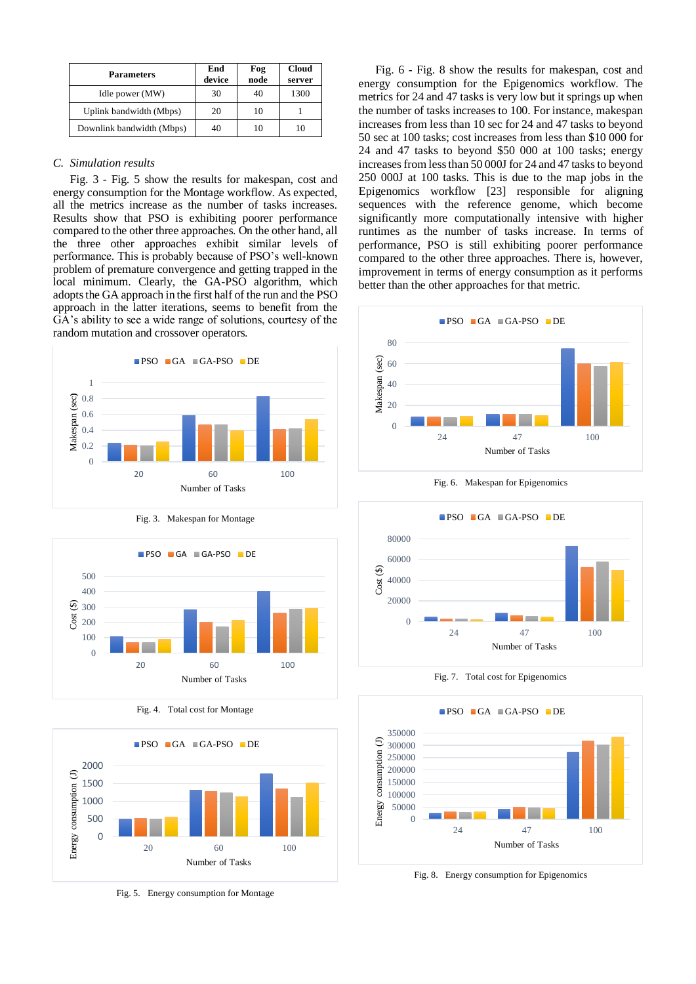| <b>Parameters</b>         | End<br>device | Fog<br>node | <b>Cloud</b><br>server |
|---------------------------|---------------|-------------|------------------------|
| Idle power (MW)           | 30            | 40          | 1300                   |
| Uplink bandwidth (Mbps)   | 20            | 10          |                        |
| Downlink bandwidth (Mbps) | 40            | 10          | 10                     |

## *C. Simulation results*

Fig. 3 - Fig. 5 show the results for makespan, cost and energy consumption for the Montage workflow. As expected, all the metrics increase as the number of tasks increases. Results show that PSO is exhibiting poorer performance compared to the other three approaches. On the other hand, all the three other approaches exhibit similar levels of performance. This is probably because of PSO's well-known problem of premature convergence and getting trapped in the local minimum. Clearly, the GA-PSO algorithm, which adopts the GA approach in the first half of the run and the PSO approach in the latter iterations, seems to benefit from the GA's ability to see a wide range of solutions, courtesy of the random mutation and crossover operators.







Fig. 4. Total cost for Montage



Fig. 5. Energy consumption for Montage

Fig. 6 - Fig. 8 show the results for makespan, cost and energy consumption for the Epigenomics workflow. The metrics for 24 and 47 tasks is very low but it springs up when the number of tasks increases to 100. For instance, makespan increases from less than 10 sec for 24 and 47 tasks to beyond 50 sec at 100 tasks; cost increases from less than \$10 000 for 24 and 47 tasks to beyond \$50 000 at 100 tasks; energy increases from less than 50 000J for 24 and 47 tasks to beyond 250 000J at 100 tasks. This is due to the map jobs in the Epigenomics workflow [23] responsible for aligning sequences with the reference genome, which become significantly more computationally intensive with higher runtimes as the number of tasks increase. In terms of performance, PSO is still exhibiting poorer performance compared to the other three approaches. There is, however, improvement in terms of energy consumption as it performs better than the other approaches for that metric.



Fig. 6. Makespan for Epigenomics



Fig. 7. Total cost for Epigenomics



Fig. 8. Energy consumption for Epigenomics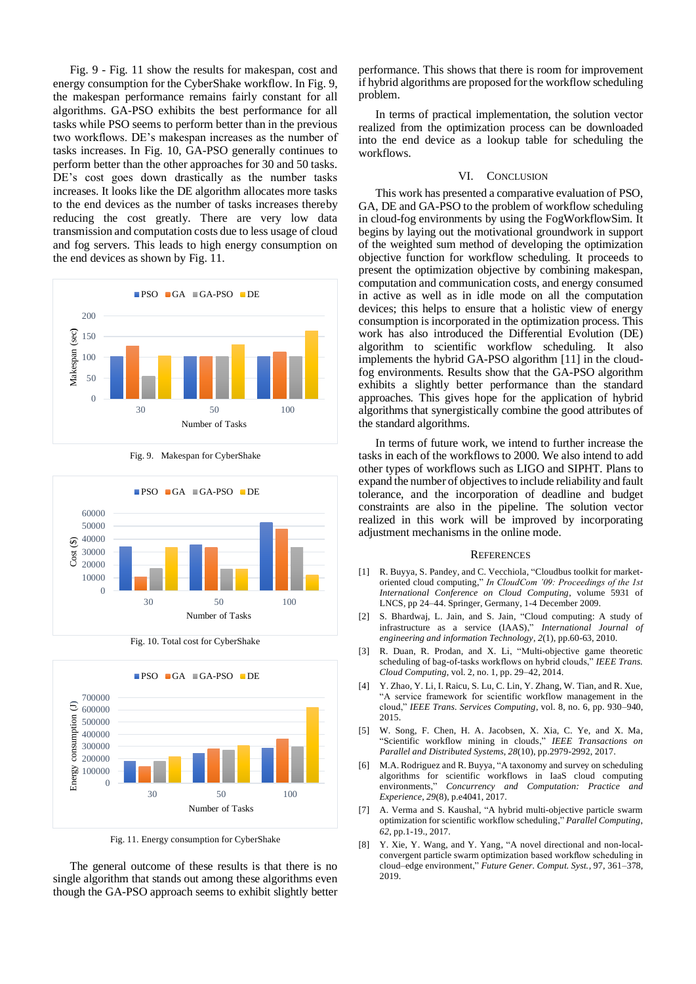Fig. 9 - Fig. 11 show the results for makespan, cost and energy consumption for the CyberShake workflow. In Fig. 9, the makespan performance remains fairly constant for all algorithms. GA-PSO exhibits the best performance for all tasks while PSO seems to perform better than in the previous two workflows. DE's makespan increases as the number of tasks increases. In Fig. 10, GA-PSO generally continues to perform better than the other approaches for 30 and 50 tasks. DE's cost goes down drastically as the number tasks increases. It looks like the DE algorithm allocates more tasks to the end devices as the number of tasks increases thereby reducing the cost greatly. There are very low data transmission and computation costs due to less usage of cloud and fog servers. This leads to high energy consumption on the end devices as shown by Fig. 11.





Fig. 9. Makespan for CyberShake

Fig. 10. Total cost for CyberShake



Fig. 11. Energy consumption for CyberShake

The general outcome of these results is that there is no single algorithm that stands out among these algorithms even though the GA-PSO approach seems to exhibit slightly better

performance. This shows that there is room for improvement if hybrid algorithms are proposed for the workflow scheduling problem.

In terms of practical implementation, the solution vector realized from the optimization process can be downloaded into the end device as a lookup table for scheduling the workflows.

## VI. CONCLUSION

This work has presented a comparative evaluation of PSO, GA, DE and GA-PSO to the problem of workflow scheduling in cloud-fog environments by using the FogWorkflowSim. It begins by laying out the motivational groundwork in support of the weighted sum method of developing the optimization objective function for workflow scheduling. It proceeds to present the optimization objective by combining makespan, computation and communication costs, and energy consumed in active as well as in idle mode on all the computation devices; this helps to ensure that a holistic view of energy consumption is incorporated in the optimization process. This work has also introduced the Differential Evolution (DE) algorithm to scientific workflow scheduling. It also implements the hybrid GA-PSO algorithm [11] in the cloudfog environments. Results show that the GA-PSO algorithm exhibits a slightly better performance than the standard approaches. This gives hope for the application of hybrid algorithms that synergistically combine the good attributes of the standard algorithms.

In terms of future work, we intend to further increase the tasks in each of the workflows to 2000. We also intend to add other types of workflows such as LIGO and SIPHT. Plans to expand the number of objectives to include reliability and fault tolerance, and the incorporation of deadline and budget constraints are also in the pipeline. The solution vector realized in this work will be improved by incorporating adjustment mechanisms in the online mode.

## **REFERENCES**

- [1] R. Buyya, S. Pandey, and C. Vecchiola, "Cloudbus toolkit for marketoriented cloud computing," *In CloudCom '09: Proceedings of the 1st International Conference on Cloud Computing*, volume 5931 of LNCS, pp 24–44. Springer, Germany, 1-4 December 2009.
- [2] S. Bhardwaj, L. Jain, and S. Jain, "Cloud computing: A study of infrastructure as a service (IAAS)," *International Journal of engineering and information Technology*, *2*(1), pp.60-63, 2010.
- [3] R. Duan, R. Prodan, and X. Li, "Multi-objective game theoretic scheduling of bag-of-tasks workflows on hybrid clouds," *IEEE Trans. Cloud Computing*, vol. 2, no. 1, pp. 29–42, 2014.
- [4] Y. Zhao, Y. Li, I. Raicu, S. Lu, C. Lin, Y. Zhang, W. Tian, and R. Xue, "A service framework for scientific workflow management in the cloud," *IEEE Trans. Services Computing*, vol. 8, no. 6, pp. 930–940, 2015.
- [5] W. Song, F. Chen, H. A. Jacobsen, X. Xia, C. Ye, and X. Ma, "Scientific workflow mining in clouds," *IEEE Transactions on Parallel and Distributed Systems*, *28*(10), pp.2979-2992, 2017.
- [6] M.A. Rodriguez and R. Buyya, "A taxonomy and survey on scheduling algorithms for scientific workflows in IaaS cloud computing environments," *Concurrency and Computation: Practice and Experience*, *29*(8), p.e4041, 2017.
- [7] A. Verma and S. Kaushal, "A hybrid multi-objective particle swarm optimization for scientific workflow scheduling," *Parallel Computing*, *62*, pp.1-19., 2017.
- [8] Y. Xie, Y. Wang, and Y. Yang, "A novel directional and non-localconvergent particle swarm optimization based workflow scheduling in cloud–edge environment," *Future Gener. Comput. Syst.*, 97, 361–378, 2019.